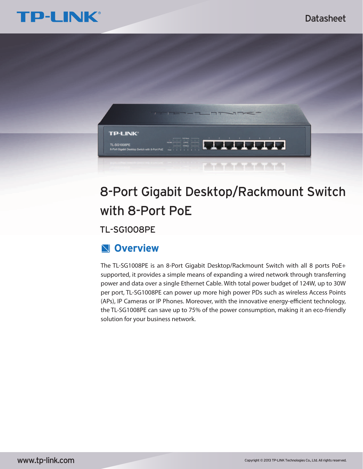



# 8-Port Gigabit Desktop/Rackmount Switch with 8-Port PoE

TL-SG1008PE

## **Overview**

The TL-SG1008PE is an 8-Port Gigabit Desktop/Rackmount Switch with all 8 ports PoE+ supported, it provides a simple means of expanding a wired network through transferring power and data over a single Ethernet Cable. With total power budget of 124W, up to 30W per port, TL-SG1008PE can power up more high power PDs such as wireless Access Points (APs), IP Cameras or IP Phones. Moreover, with the innovative energy-efficient technology, the TL-SG1008PE can save up to 75% of the power consumption, making it an eco-friendly solution for your business network.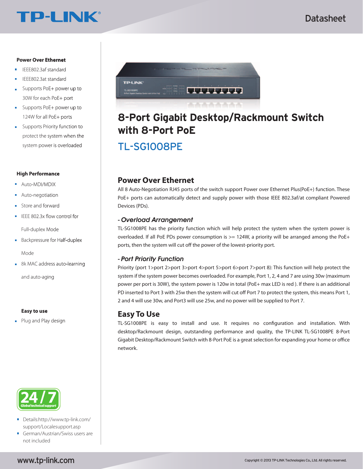# **TP-LINK®**

## Datasheet

### **Power Over Ethernet**

- IEEE802.3af standard
- IEEE802.3at standard
- Supports PoE+ power up to 30W for each PoE+ port
- Supports PoE+ power up to 124W for all PoE+ ports
- Supports Priority function to protect the system when the system power is overloaded

#### **High Performance**

- **Auto-MDI/MDIX**
- Auto-negotiation
- **Store and forward**
- $\blacksquare$  IEEE 802.3x flow control for

Full-duplex Mode

**Backpressure for Half-duplex** 

Mode

■ 8k MAC address auto-learning

and auto-aging

#### **Easy to use**

**Plug and Play design** 



- Details:http://www.tp-link.com/ support/Localesupport.asp
- German/Austrian/Swiss users are not included



# **8-Port Gigabit Desktop/Rackmount Switch with 8-Port PoE**

TL-SG1008PE

## **Power Over Ethernet**

All 8 Auto-Negotiation RJ45 ports of the switch support Power over Ethernet Plus(PoE+) function. These PoE+ ports can automatically detect and supply power with those IEEE 802.3af/at compliant Powered Devices (PDs).

## **-** Overload Arrangement

TL-SG1008PE has the priority function which will help protect the system when the system power is overloaded. If all PoE PDs power consumption is  $>= 124W$ , a priority will be arranged among the PoE+ ports, then the system will cut off the power of the lowest-priority port.

## **-** Port Priority Function

Priority (port 1>port 2>port 3>port 4>port 5>port 6>port 7>port 8): This function will help protect the system if the system power becomes overloaded. For example, Port 1, 2, 4 and 7 are using 30w (maximum power per port is 30W), the system power is 120w in total (PoE+ max LED is red ). If there is an additional PD inserted to Port 3 with 25w then the system will cut off Port 7 to protect the system, this means Port 1, 2 and 4 will use 30w, and Port3 will use 25w, and no power will be supplied to Port 7.

## **Easy To Use**

TL-SG1008PE is easy to install and use. It requires no configuration and installation. With desktop/Rackmount design, outstanding performance and quality, the TP-LINK TL-SG1008PE 8-Port Gigabit Desktop/Rackmount Switch with 8-Port PoE is a great selection for expanding your home or office network.